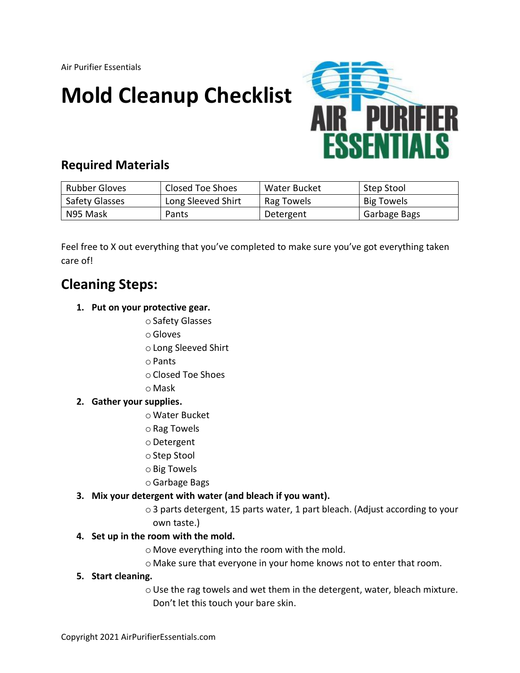Air Purifier Essentials

# **Mold Cleanup Checklist**



### **Required Materials**

| <b>Rubber Gloves</b> | Closed Toe Shoes   | Water Bucket | Step Stool        |
|----------------------|--------------------|--------------|-------------------|
| Safety Glasses       | Long Sleeved Shirt | Rag Towels   | <b>Big Towels</b> |
| N95 Mask             | Pants              | Detergent    | Garbage Bags      |

Feel free to X out everything that you've completed to make sure you've got everything taken care of!

## **Cleaning Steps:**

- **1. Put on your protective gear.** 
	- oSafety Glasses
	- oGloves
	- oLong Sleeved Shirt
	- oPants
	- oClosed Toe Shoes
	- o Mask

#### **2. Gather your supplies.**

- o Water Bucket
- oRag Towels
- oDetergent
- oStep Stool
- oBig Towels
- oGarbage Bags
- **3. Mix your detergent with water (and bleach if you want).**
	- o3 parts detergent, 15 parts water, 1 part bleach. (Adjust according to your own taste.)

#### **4. Set up in the room with the mold.**

- o Move everything into the room with the mold.
- o Make sure that everyone in your home knows not to enter that room.

#### **5. Start cleaning.**

oUse the rag towels and wet them in the detergent, water, bleach mixture. Don't let this touch your bare skin.